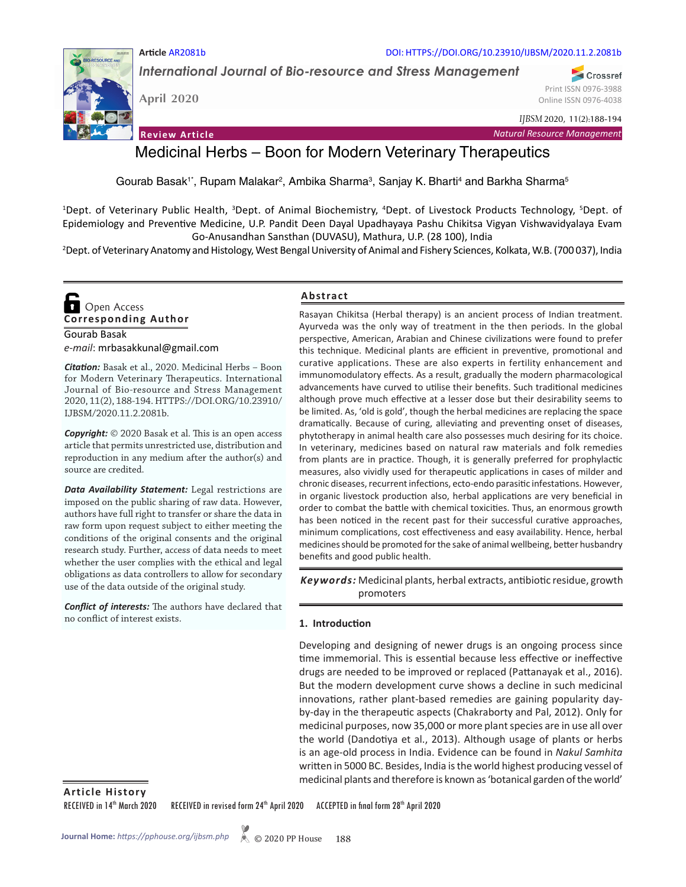#### DOI: HTTPS://DOI.ORG/10.23910/IJBSM/2020.11.2.2081b

*International Journal of Bio-resource and Stress Management*

**April 2020**

**Article** AR2081b

Print ISSN 0976-3988 Online ISSN 0976-4038

Crossref

**Review Article**



# Medicinal Herbs – Boon for Modern Veterinary Therapeutics

Gourab Basak1˚, Rupam Malakar², Ambika Sharma<sup>3</sup>, Sanjay K. Bharti<sup>4</sup> and Barkha Sharma<sup>5</sup>

<sup>1</sup>Dept. of Veterinary Public Health, <sup>3</sup>Dept. of Animal Biochemistry, <sup>4</sup>Dept. of Livestock Products Technology, <sup>5</sup>Dept. of Epidemiology and Preventive Medicine, U.P. Pandit Deen Dayal Upadhayaya Pashu Chikitsa Vigyan Vishwavidyalaya Evam Go-Anusandhan Sansthan (DUVASU), Mathura, U.P. (28 100), India 2

<sup>2</sup>Dept. of Veterinary Anatomy and Histology, West Bengal University of Animal and Fishery Sciences, Kolkata, W.B. (700 037), India

Gourab Basak *e-mail*: mrbasakkunal@gmail.com **Corresponding Author**  Open Access

*Citation:* Basak et al., 2020. Medicinal Herbs – Boon for Modern Veterinary Therapeutics. International Journal of Bio-resource and Stress Management 2020, 11(2), 188-194. HTTPS://DOI.ORG/10.23910/ IJBSM/2020.11.2.2081b.

*Copyright:* © 2020 Basak et al. This is an open access article that permits unrestricted use, distribution and reproduction in any medium after the author(s) and source are credited.

*Data Availability Statement:* Legal restrictions are imposed on the public sharing of raw data. However, authors have full right to transfer or share the data in raw form upon request subject to either meeting the conditions of the original consents and the original research study. Further, access of data needs to meet whether the user complies with the ethical and legal obligations as data controllers to allow for secondary use of the data outside of the original study.

*Conflict of interests:* The authors have declared that no conflict of interest exists.

### **Abstract**

Rasayan Chikitsa (Herbal therapy) is an ancient process of Indian treatment. Ayurveda was the only way of treatment in the then periods. In the global perspective, American, Arabian and Chinese civilizations were found to prefer this technique. Medicinal plants are efficient in preventive, promotional and curative applications. These are also experts in fertility enhancement and immunomodulatory effects. As a result, gradually the modern pharmacological advancements have curved to utilise their benefits. Such traditional medicines although prove much effective at a lesser dose but their desirability seems to be limited. As, 'old is gold', though the herbal medicines are replacing the space dramatically. Because of curing, alleviating and preventing onset of diseases, phytotherapy in animal health care also possesses much desiring for its choice. In veterinary, medicines based on natural raw materials and folk remedies from plants are in practice. Though, it is generally preferred for prophylactic measures, also vividly used for therapeutic applications in cases of milder and chronic diseases, recurrent infections, ecto-endo parasitic infestations. However, in organic livestock production also, herbal applications are very beneficial in order to combat the battle with chemical toxicities. Thus, an enormous growth has been noticed in the recent past for their successful curative approaches, minimum complications, cost effectiveness and easy availability. Hence, herbal medicines should be promoted for the sake of animal wellbeing, better husbandry benefits and good public health.

Keywords: Medicinal plants, herbal extracts, antibiotic residue, growth promoters

#### **1. Introduction**

Developing and designing of newer drugs is an ongoing process since time immemorial. This is essential because less effective or ineffective drugs are needed to be improved or replaced (Pattanayak et al., 2016). But the modern development curve shows a decline in such medicinal innovations, rather plant-based remedies are gaining popularity dayby-day in the therapeutic aspects (Chakraborty and Pal, 2012). Only for medicinal purposes, now 35,000 or more plant species are in use all over the world (Dandotiya et al., 2013). Although usage of plants or herbs is an age-old process in India. Evidence can be found in *Nakul Samhita* written in 5000 BC. Besides, India is the world highest producing vessel of medicinal plants and therefore is known as 'botanical garden of the world'

**Article History**

RECEIVED in 14<sup>th</sup> March 2020 RECEIVED in revised form 24<sup>th</sup> April 2020 ACCEPTED in final form 28<sup>th</sup> April 2020

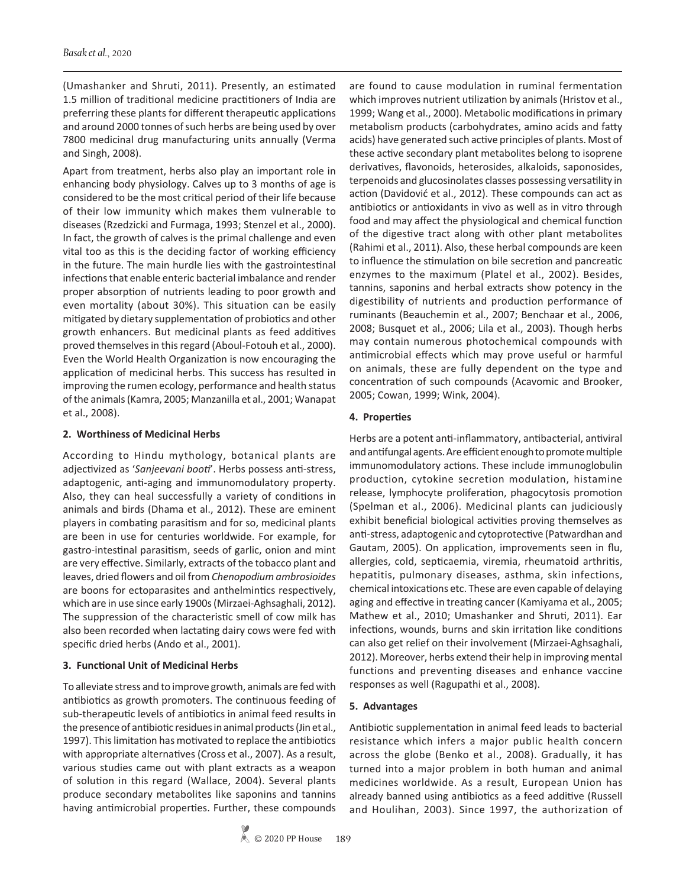(Umashanker and Shruti, 2011). Presently, an estimated 1.5 million of traditional medicine practitioners of India are preferring these plants for different therapeutic applications and around 2000 tonnes of such herbs are being used by over 7800 medicinal drug manufacturing units annually (Verma and Singh, 2008).

Apart from treatment, herbs also play an important role in enhancing body physiology. Calves up to 3 months of age is considered to be the most critical period of their life because of their low immunity which makes them vulnerable to diseases (Rzedzicki and Furmaga, 1993; Stenzel et al., 2000). In fact, the growth of calves is the primal challenge and even vital too as this is the deciding factor of working efficiency in the future. The main hurdle lies with the gastrointestinal infections that enable enteric bacterial imbalance and render proper absorption of nutrients leading to poor growth and even mortality (about 30%). This situation can be easily mitigated by dietary supplementation of probiotics and other growth enhancers. But medicinal plants as feed additives proved themselves in this regard (Aboul-Fotouh et al., 2000). Even the World Health Organization is now encouraging the application of medicinal herbs. This success has resulted in improving the rumen ecology, performance and health status of the animals (Kamra, 2005; Manzanilla et al., 2001; Wanapat et al., 2008).

# **2. Worthiness of Medicinal Herbs**

According to Hindu mythology, botanical plants are adjectivized as '*Sanjeevani booti*'. Herbs possess anti-stress, adaptogenic, anti-aging and immunomodulatory property. Also, they can heal successfully a variety of conditions in animals and birds (Dhama et al., 2012). These are eminent players in combating parasitism and for so, medicinal plants are been in use for centuries worldwide. For example, for gastro-intestinal parasitism, seeds of garlic, onion and mint are very effective. Similarly, extracts of the tobacco plant and leaves, dried flowers and oil from *Chenopodium ambrosioides* are boons for ectoparasites and anthelmintics respectively, which are in use since early 1900s (Mirzaei-Aghsaghali, 2012). The suppression of the characteristic smell of cow milk has also been recorded when lactating dairy cows were fed with specific dried herbs (Ando et al., 2001).

# **3. Functional Unit of Medicinal Herbs**

To alleviate stress and to improve growth, animals are fed with antibiotics as growth promoters. The continuous feeding of sub-therapeutic levels of antibiotics in animal feed results in the presence of antibiotic residues in animal products (Jin et al., 1997). This limitation has motivated to replace the antibiotics with appropriate alternatives (Cross et al., 2007). As a result, various studies came out with plant extracts as a weapon of solution in this regard (Wallace, 2004). Several plants produce secondary metabolites like saponins and tannins having antimicrobial properties. Further, these compounds are found to cause modulation in ruminal fermentation which improves nutrient utilization by animals (Hristov et al., 1999; Wang et al., 2000). Metabolic modifications in primary metabolism products (carbohydrates, amino acids and fatty acids) have generated such active principles of plants. Most of these active secondary plant metabolites belong to isoprene derivatives, flavonoids, heterosides, alkaloids, saponosides, terpenoids and glucosinolates classes possessing versatility in action (Davidović et al., 2012). These compounds can act as antibiotics or antioxidants in vivo as well as in vitro through food and may affect the physiological and chemical function of the digestive tract along with other plant metabolites (Rahimi et al., 2011). Also, these herbal compounds are keen to influence the stimulation on bile secretion and pancreatic enzymes to the maximum (Platel et al., 2002). Besides, tannins, saponins and herbal extracts show potency in the digestibility of nutrients and production performance of ruminants (Beauchemin et al., 2007; Benchaar et al., 2006, 2008; Busquet et al., 2006; Lila et al., 2003). Though herbs may contain numerous photochemical compounds with antimicrobial effects which may prove useful or harmful on animals, these are fully dependent on the type and concentration of such compounds (Acavomic and Brooker, 2005; Cowan, 1999; Wink, 2004).

# **4. Properties**

Herbs are a potent anti-inflammatory, antibacterial, antiviral and antifungal agents. Are efficient enough to promote multiple immunomodulatory actions. These include immunoglobulin production, cytokine secretion modulation, histamine release, lymphocyte proliferation, phagocytosis promotion (Spelman et al., 2006). Medicinal plants can judiciously exhibit beneficial biological activities proving themselves as anti-stress, adaptogenic and cytoprotective (Patwardhan and Gautam, 2005). On application, improvements seen in flu, allergies, cold, septicaemia, viremia, rheumatoid arthritis, hepatitis, pulmonary diseases, asthma, skin infections, chemical intoxications etc. These are even capable of delaying aging and effective in treating cancer (Kamiyama et al., 2005; Mathew et al., 2010; Umashanker and Shruti, 2011). Ear infections, wounds, burns and skin irritation like conditions can also get relief on their involvement (Mirzaei-Aghsaghali, 2012). Moreover, herbs extend their help in improving mental functions and preventing diseases and enhance vaccine responses as well (Ragupathi et al., 2008).

# **5. Advantages**

Antibiotic supplementation in animal feed leads to bacterial resistance which infers a major public health concern across the globe (Benko et al., 2008). Gradually, it has turned into a major problem in both human and animal medicines worldwide. As a result, European Union has already banned using antibiotics as a feed additive (Russell and Houlihan, 2003). Since 1997, the authorization of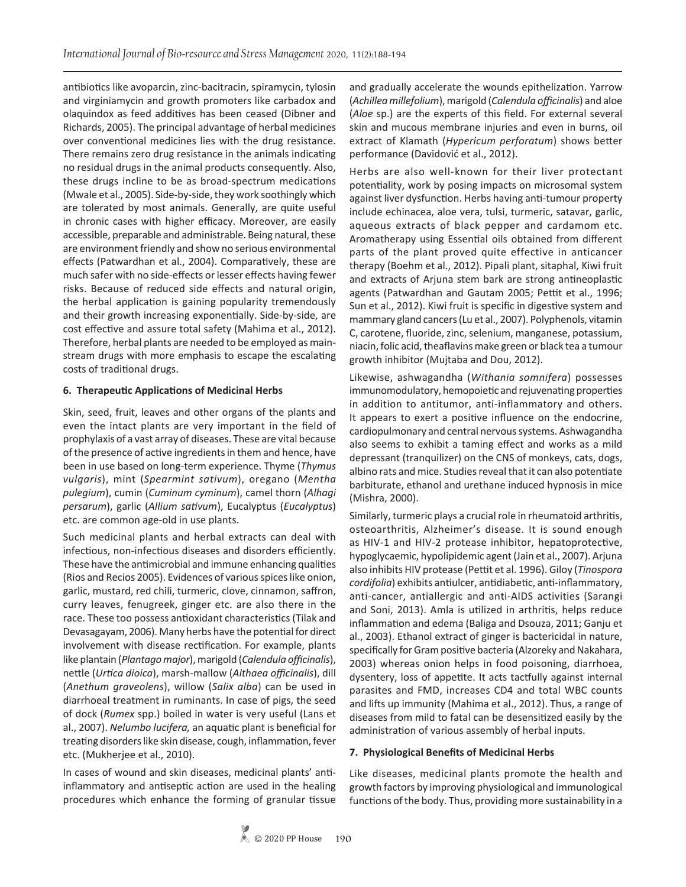antibiotics like avoparcin, zinc-bacitracin, spiramycin, tylosin and virginiamycin and growth promoters like carbadox and olaquindox as feed additives has been ceased (Dibner and Richards, 2005). The principal advantage of herbal medicines over conventional medicines lies with the drug resistance. There remains zero drug resistance in the animals indicating no residual drugs in the animal products consequently. Also, these drugs incline to be as broad-spectrum medications (Mwale et al., 2005). Side-by-side, they work soothingly which are tolerated by most animals. Generally, are quite useful in chronic cases with higher efficacy. Moreover, are easily accessible, preparable and administrable. Being natural, these are environment friendly and show no serious environmental effects (Patwardhan et al., 2004). Comparatively, these are much safer with no side-effects or lesser effects having fewer risks. Because of reduced side effects and natural origin, the herbal application is gaining popularity tremendously and their growth increasing exponentially. Side-by-side, are cost effective and assure total safety (Mahima et al., 2012). Therefore, herbal plants are needed to be employed as mainstream drugs with more emphasis to escape the escalating costs of traditional drugs.

# **6. Therapeutic Applications of Medicinal Herbs**

Skin, seed, fruit, leaves and other organs of the plants and even the intact plants are very important in the field of prophylaxis of a vast array of diseases. These are vital because of the presence of active ingredients in them and hence, have been in use based on long-term experience. Thyme (*Thymus vulgaris*), mint (*Spearmint sativum*), oregano (*Mentha pulegium*), cumin (*Cuminum cyminum*), camel thorn (*Alhagi persarum*), garlic (*Allium sativum*), Eucalyptus (*Eucalyptus*) etc. are common age-old in use plants.

Such medicinal plants and herbal extracts can deal with infectious, non-infectious diseases and disorders efficiently. These have the antimicrobial and immune enhancing qualities (Rios and Recios 2005). Evidences of various spices like onion, garlic, mustard, red chili, turmeric, clove, cinnamon, saffron, curry leaves, fenugreek, ginger etc. are also there in the race. These too possess antioxidant characteristics (Tilak and Devasagayam, 2006). Many herbs have the potential for direct involvement with disease rectification. For example, plants like plantain (*Plantago major*), marigold (*Calendula officinalis*), nettle (*Urtica dioica*), marsh-mallow (*Althaea officinalis*), dill (*Anethum graveolens*), willow (*Salix alba*) can be used in diarrhoeal treatment in ruminants. In case of pigs, the seed of dock (*Rumex* spp.) boiled in water is very useful (Lans et al., 2007). *Nelumbo lucifera,* an aquatic plant is beneficial for treating disorders like skin disease, cough, inflammation, fever etc. (Mukherjee et al., 2010).

In cases of wound and skin diseases, medicinal plants' antiinflammatory and antiseptic action are used in the healing procedures which enhance the forming of granular tissue and gradually accelerate the wounds epithelization. Yarrow (*Achillea millefolium*), marigold (*Calendula officinalis*) and aloe (*Aloe* sp.) are the experts of this field. For external several skin and mucous membrane injuries and even in burns, oil extract of Klamath (*Hypericum perforatum*) shows better performance (Davidović et al., 2012).

Herbs are also well-known for their liver protectant potentiality, work by posing impacts on microsomal system against liver dysfunction. Herbs having anti-tumour property include echinacea, aloe vera, tulsi, turmeric, satavar, garlic, aqueous extracts of black pepper and cardamom etc. Aromatherapy using Essential oils obtained from different parts of the plant proved quite effective in anticancer therapy (Boehm et al., 2012). Pipali plant, sitaphal, Kiwi fruit and extracts of Arjuna stem bark are strong antineoplastic agents (Patwardhan and Gautam 2005; Pettit et al., 1996; Sun et al., 2012). Kiwi fruit is specific in digestive system and mammary gland cancers (Lu et al., 2007). Polyphenols, vitamin C, carotene, fluoride, zinc, selenium, manganese, potassium, niacin, folic acid, theaflavins make green or black tea a tumour growth inhibitor (Mujtaba and Dou, 2012).

Likewise, ashwagandha (*Withania somnifera*) possesses immunomodulatory, hemopoietic and rejuvenating properties in addition to antitumor, anti-inflammatory and others. It appears to exert a positive influence on the endocrine, cardiopulmonary and central nervous systems. Ashwagandha also seems to exhibit a taming effect and works as a mild depressant (tranquilizer) on the CNS of monkeys, cats, dogs, albino rats and mice. Studies reveal that it can also potentiate barbiturate, ethanol and urethane induced hypnosis in mice (Mishra, 2000).

Similarly, turmeric plays a crucial role in rheumatoid arthritis, osteoarthritis, Alzheimer's disease. It is sound enough as HIV-1 and HIV-2 protease inhibitor, hepatoprotective, hypoglycaemic, hypolipidemic agent (Jain et al., 2007). Arjuna also inhibits HIV protease (Pettit et al. 1996). Giloy (*Tinospora cordifolia*) exhibits antiulcer, antidiabetic, anti-inflammatory, anti-cancer, antiallergic and anti-AIDS activities (Sarangi and Soni, 2013). Amla is utilized in arthritis, helps reduce inflammation and edema (Baliga and Dsouza, 2011; Ganju et al., 2003). Ethanol extract of ginger is bactericidal in nature, specifically for Gram positive bacteria (Alzoreky and Nakahara, 2003) whereas onion helps in food poisoning, diarrhoea, dysentery, loss of appetite. It acts tactfully against internal parasites and FMD, increases CD4 and total WBC counts and lifts up immunity (Mahima et al., 2012). Thus, a range of diseases from mild to fatal can be desensitized easily by the administration of various assembly of herbal inputs.

# **7. Physiological Benefits of Medicinal Herbs**

Like diseases, medicinal plants promote the health and growth factors by improving physiological and immunological functions of the body. Thus, providing more sustainability in a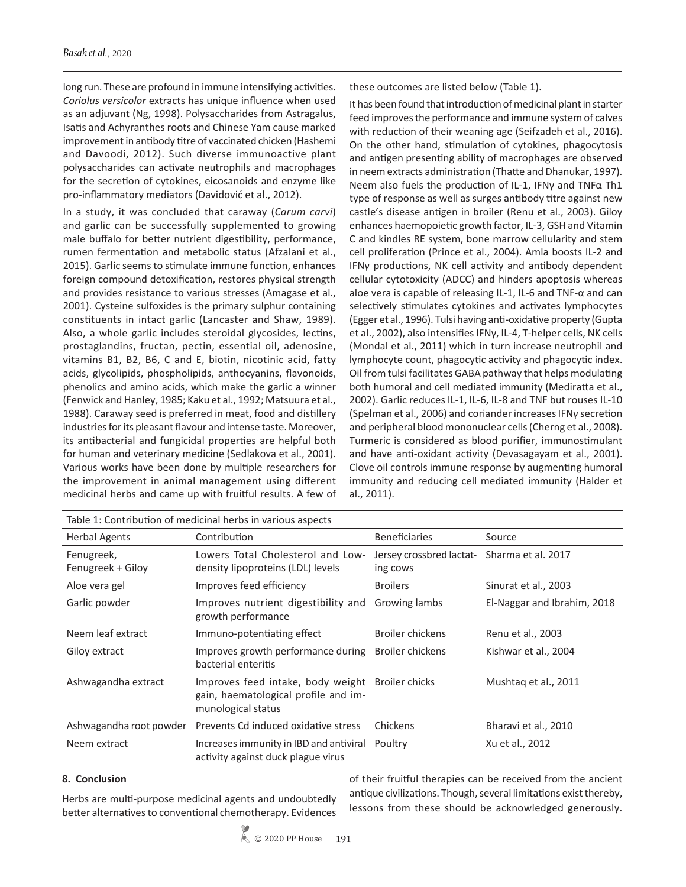long run. These are profound in immune intensifying activities. *Coriolus versicolor* extracts has unique influence when used as an adjuvant (Ng, 1998). Polysaccharides from Astragalus, Isatis and Achyranthes roots and Chinese Yam cause marked improvement in antibody titre of vaccinated chicken (Hashemi and Davoodi, 2012). Such diverse immunoactive plant polysaccharides can activate neutrophils and macrophages for the secretion of cytokines, eicosanoids and enzyme like pro-inflammatory mediators (Davidović et al., 2012).

In a study, it was concluded that caraway (*Carum carvi*) and garlic can be successfully supplemented to growing male buffalo for better nutrient digestibility, performance, rumen fermentation and metabolic status (Afzalani et al., 2015). Garlic seems to stimulate immune function, enhances foreign compound detoxification, restores physical strength and provides resistance to various stresses (Amagase et al., 2001). Cysteine sulfoxides is the primary sulphur containing constituents in intact garlic (Lancaster and Shaw, 1989). Also, a whole garlic includes steroidal glycosides, lectins, prostaglandins, fructan, pectin, essential oil, adenosine, vitamins B1, B2, B6, C and E, biotin, nicotinic acid, fatty acids, glycolipids, phospholipids, anthocyanins, flavonoids, phenolics and amino acids, which make the garlic a winner (Fenwick and Hanley, 1985; Kaku et al., 1992; Matsuura et al., 1988). Caraway seed is preferred in meat, food and distillery industries for its pleasant flavour and intense taste. Moreover, its antibacterial and fungicidal properties are helpful both for human and veterinary medicine (Sedlakova et al., 2001). Various works have been done by multiple researchers for the improvement in animal management using different medicinal herbs and came up with fruitful results. A few of these outcomes are listed below (Table 1).

It has been found that introduction of medicinal plant in starter feed improves the performance and immune system of calves with reduction of their weaning age (Seifzadeh et al., 2016). On the other hand, stimulation of cytokines, phagocytosis and antigen presenting ability of macrophages are observed in neem extracts administration (Thatte and Dhanukar, 1997). Neem also fuels the production of IL-1, IFNγ and TNFα Th1 type of response as well as surges antibody titre against new castle's disease antigen in broiler (Renu et al., 2003). Giloy enhances haemopoietic growth factor, IL-3, GSH and Vitamin C and kindles RE system, bone marrow cellularity and stem cell proliferation (Prince et al., 2004). Amla boosts IL-2 and IFNγ productions, NK cell activity and antibody dependent cellular cytotoxicity (ADCC) and hinders apoptosis whereas aloe vera is capable of releasing IL-1, IL-6 and TNF-α and can selectively stimulates cytokines and activates lymphocytes (Egger et al., 1996). Tulsi having anti-oxidative property (Gupta et al., 2002), also intensifies IFNγ, IL-4, T-helper cells, NK cells (Mondal et al., 2011) which in turn increase neutrophil and lymphocyte count, phagocytic activity and phagocytic index. Oil from tulsi facilitates GABA pathway that helps modulating both humoral and cell mediated immunity (Mediratta et al., 2002). Garlic reduces IL-1, IL-6, IL-8 and TNF but rouses IL-10 (Spelman et al., 2006) and coriander increases IFNγ secretion and peripheral blood mononuclear cells (Cherng et al., 2008). Turmeric is considered as blood purifier, immunostimulant and have anti-oxidant activity (Devasagayam et al., 2001). Clove oil controls immune response by augmenting humoral immunity and reducing cell mediated immunity (Halder et al., 2011).

| Table 1: Contribution of medicinal herbs in various aspects |                                                                                                                |                                                         |                             |
|-------------------------------------------------------------|----------------------------------------------------------------------------------------------------------------|---------------------------------------------------------|-----------------------------|
| <b>Herbal Agents</b>                                        | Contribution                                                                                                   | <b>Beneficiaries</b>                                    | Source                      |
| Fenugreek,<br>Fenugreek + Giloy                             | Lowers Total Cholesterol and Low-<br>density lipoproteins (LDL) levels                                         | Jersey crossbred lactat- Sharma et al. 2017<br>ing cows |                             |
| Aloe vera gel                                               | Improves feed efficiency                                                                                       | <b>Broilers</b>                                         | Sinurat et al., 2003        |
| Garlic powder                                               | Improves nutrient digestibility and<br>growth performance                                                      | Growing lambs                                           | El-Naggar and Ibrahim, 2018 |
| Neem leaf extract                                           | Immuno-potentiating effect                                                                                     | <b>Broiler chickens</b>                                 | Renu et al., 2003           |
| Giloy extract                                               | Improves growth performance during<br>bacterial enteritis                                                      | Broiler chickens                                        | Kishwar et al., 2004        |
| Ashwagandha extract                                         | Improves feed intake, body weight Broiler chicks<br>gain, haematological profile and im-<br>munological status |                                                         | Mushtag et al., 2011        |
| Ashwagandha root powder                                     | Prevents Cd induced oxidative stress                                                                           | Chickens                                                | Bharavi et al., 2010        |
| Neem extract                                                | Increases immunity in IBD and antiviral<br>activity against duck plague virus                                  | Poultry                                                 | Xu et al., 2012             |

#### **8. Conclusion**

Herbs are multi-purpose medicinal agents and undoubtedly better alternatives to conventional chemotherapy. Evidences

of their fruitful therapies can be received from the ancient antique civilizations. Though, several limitations exist thereby, lessons from these should be acknowledged generously.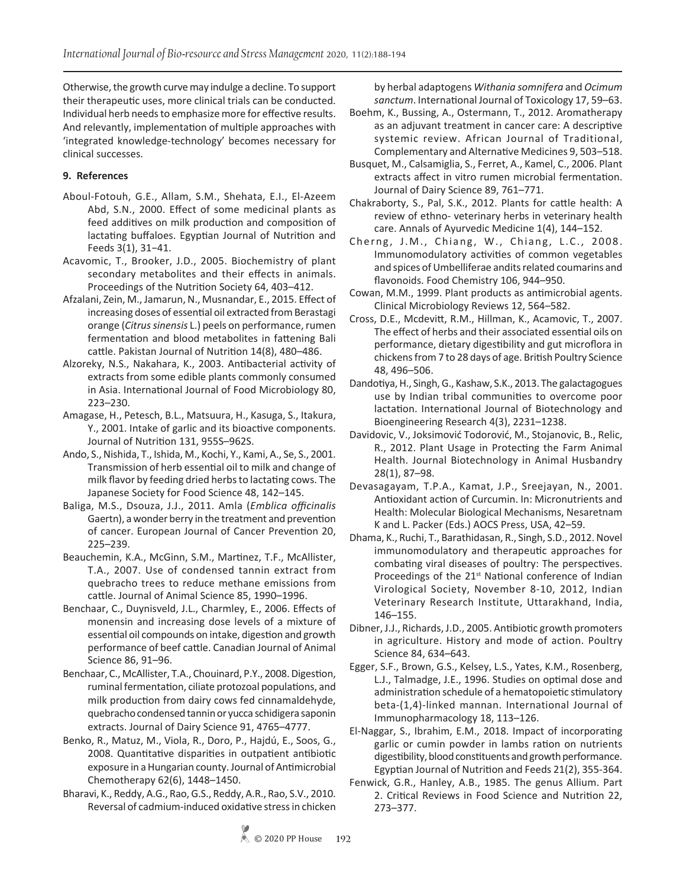Otherwise, the growth curve may indulge a decline. To support their therapeutic uses, more clinical trials can be conducted. Individual herb needs to emphasize more for effective results. And relevantly, implementation of multiple approaches with 'integrated knowledge-technology' becomes necessary for clinical successes.

# **9. References**

- Aboul-Fotouh, G.E., Allam, S.M., Shehata, E.I., El-Azeem Abd, S.N., 2000. Effect of some medicinal plants as feed additives on milk production and composition of lactating buffaloes. Egyptian Journal of Nutrition and Feeds 3(1), 31−41.
- Acavomic, T., Brooker, J.D., 2005. Biochemistry of plant secondary metabolites and their effects in animals. Proceedings of the Nutrition Society 64, 403–412.
- Afzalani, Zein, M., Jamarun, N., Musnandar, E., 2015. Effect of increasing doses of essential oil extracted from Berastagi orange (*Citrus sinensis* L.) peels on performance, rumen fermentation and blood metabolites in fattening Bali cattle. Pakistan Journal of Nutrition 14(8), 480–486.
- Alzoreky, N.S., Nakahara, K., 2003. Antibacterial activity of extracts from some edible plants commonly consumed in Asia. International Journal of Food Microbiology 80, 223–230.
- Amagase, H., Petesch, B.L., Matsuura, H., Kasuga, S., Itakura, Y., 2001. Intake of garlic and its bioactive components. Journal of Nutrition 131, 955S–962S.
- Ando, S., Nishida, T., Ishida, M., Kochi, Y., Kami, A., Se, S., 2001. Transmission of herb essential oil to milk and change of milk flavor by feeding dried herbs to lactating cows. The Japanese Society for Food Science 48, 142–145.
- Baliga, M.S., Dsouza, J.J., 2011. Amla (*Emblica officinalis* Gaertn), a wonder berry in the treatment and prevention of cancer. European Journal of Cancer Prevention 20, 225–239.
- Beauchemin, K.A., McGinn, S.M., Martinez, T.F., McAllister, T.A., 2007. Use of condensed tannin extract from quebracho trees to reduce methane emissions from cattle. Journal of Animal Science 85, 1990–1996.
- Benchaar, C., Duynisveld, J.L., Charmley, E., 2006. Effects of monensin and increasing dose levels of a mixture of essential oil compounds on intake, digestion and growth performance of beef cattle. Canadian Journal of Animal Science 86, 91–96.
- Benchaar, C., McAllister, T.A., Chouinard, P.Y., 2008. Digestion, ruminal fermentation, ciliate protozoal populations, and milk production from dairy cows fed cinnamaldehyde, quebracho condensed tannin or yucca schidigera saponin extracts. Journal of Dairy Science 91, 4765–4777.
- Benko, R., Matuz, M., Viola, R., Doro, P., Hajdú, E., Soos, G., 2008. Quantitative disparities in outpatient antibiotic exposure in a Hungarian county. Journal of Antimicrobial Chemotherapy 62(6), 1448–1450.
- Bharavi, K., Reddy, A.G., Rao, G.S., Reddy, A.R., Rao, S.V., 2010. Reversal of cadmium-induced oxidative stress in chicken

by herbal adaptogens *Withania somnifera* and *Ocimum sanctum*. International Journal of Toxicology 17, 59–63.

- Boehm, K., Bussing, A., Ostermann, T., 2012. Aromatherapy as an adjuvant treatment in cancer care: A descriptive systemic review. African Journal of Traditional, Complementary and Alternative Medicines 9, 503–518.
- Busquet, M., Calsamiglia, S., Ferret, A., Kamel, C., 2006. Plant extracts affect in vitro rumen microbial fermentation. Journal of Dairy Science 89, 761–771.
- Chakraborty, S., Pal, S.K., 2012. Plants for cattle health: A review of ethno- veterinary herbs in veterinary health care. Annals of Ayurvedic Medicine 1(4), 144–152.
- Cherng, J.M., Chiang, W., Chiang, L.C., 2008. Immunomodulatory activities of common vegetables and spices of Umbelliferae andits related coumarins and flavonoids. Food Chemistry 106, 944–950.
- Cowan, M.M., 1999. Plant products as antimicrobial agents. Clinical Microbiology Reviews 12, 564–582.
- Cross, D.E., Mcdevitt, R.M., Hillman, K., Acamovic, T., 2007. The effect of herbs and their associated essential oils on performance, dietary digestibility and gut microflora in chickens from 7 to 28 days of age. British Poultry Science 48, 496–506.
- Dandotiya, H., Singh, G., Kashaw, S.K., 2013. The galactagogues use by Indian tribal communities to overcome poor lactation. International Journal of Biotechnology and Bioengineering Research 4(3), 2231–1238.
- Davidovic, V., Joksimović Todorović, M., Stojanovic, B., Relic, R., 2012. Plant Usage in Protecting the Farm Animal Health. Journal Biotechnology in Animal Husbandry 28(1), 87–98.
- Devasagayam, T.P.A., Kamat, J.P., Sreejayan, N., 2001. Antioxidant action of Curcumin. In: Micronutrients and Health: Molecular Biological Mechanisms, Nesaretnam K and L. Packer (Eds.) AOCS Press, USA, 42–59.
- Dhama, K., Ruchi, T., Barathidasan, R., Singh, S.D., 2012. Novel immunomodulatory and therapeutic approaches for combating viral diseases of poultry: The perspectives. Proceedings of the  $21<sup>st</sup>$  National conference of Indian Virological Society, November 8-10, 2012, Indian Veterinary Research Institute, Uttarakhand, India, 146–155.
- Dibner, J.J., Richards, J.D., 2005. Antibiotic growth promoters in agriculture. History and mode of action. Poultry Science 84, 634–643.
- Egger, S.F., Brown, G.S., Kelsey, L.S., Yates, K.M., Rosenberg, L.J., Talmadge, J.E., 1996. Studies on optimal dose and administration schedule of a hematopoietic stimulatory beta-(1,4)-linked mannan. International Journal of Immunopharmacology 18, 113–126.
- El-Naggar, S., Ibrahim, E.M., 2018. Impact of incorporating garlic or cumin powder in lambs ration on nutrients digestibility, blood constituents and growth performance. Egyptian Journal of Nutrition and Feeds 21(2), 355-364.
- Fenwick, G.R., Hanley, A.B., 1985. The genus Allium. Part 2. Critical Reviews in Food Science and Nutrition 22, 273–377.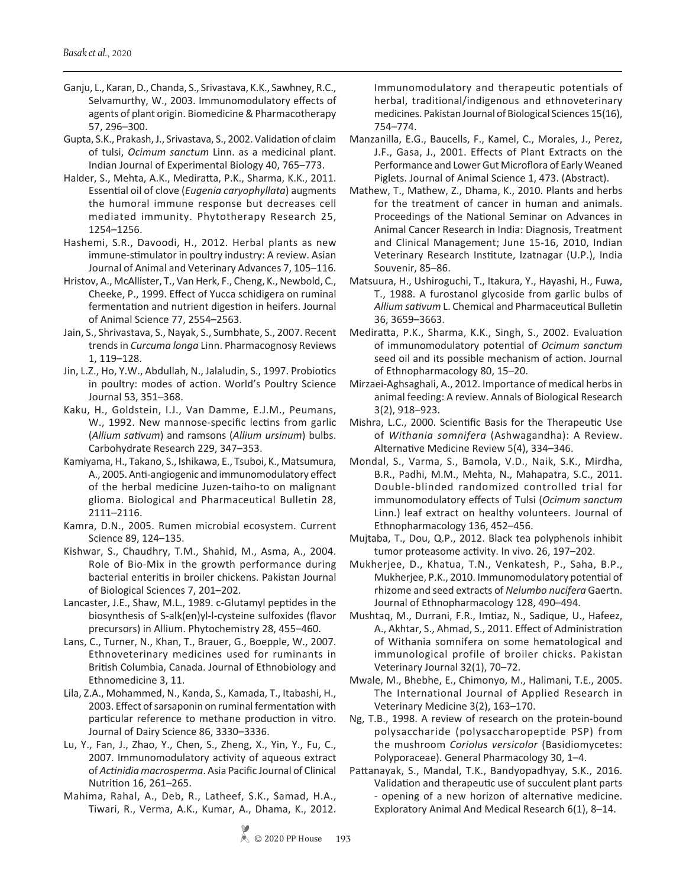Ganju, L., Karan, D., Chanda, S., Srivastava, K.K., Sawhney, R.C., Selvamurthy, W., 2003. Immunomodulatory effects of agents of plant origin. Biomedicine & Pharmacotherapy 57, 296–300.

Gupta, S.K., Prakash, J., Srivastava, S., 2002. Validation of claim of tulsi, *Ocimum sanctum* Linn. as a medicinal plant. Indian Journal of Experimental Biology 40, 765–773.

Halder, S., Mehta, A.K., Mediratta, P.K., Sharma, K.K., 2011. Essential oil of clove (*Eugenia caryophyllata*) augments the humoral immune response but decreases cell mediated immunity. Phytotherapy Research 25, 1254–1256.

Hashemi, S.R., Davoodi, H., 2012. Herbal plants as new immune-stimulator in poultry industry: A review. Asian Journal of Animal and Veterinary Advances 7, 105–116.

Hristov, A., McAllister, T., Van Herk, F., Cheng, K., Newbold, C., Cheeke, P., 1999. Effect of Yucca schidigera on ruminal fermentation and nutrient digestion in heifers. Journal of Animal Science 77, 2554–2563.

Jain, S., Shrivastava, S., Nayak, S., Sumbhate, S., 2007. Recent trends in *Curcuma longa* Linn. Pharmacognosy Reviews 1, 119–128.

Jin, L.Z., Ho, Y.W., Abdullah, N., Jalaludin, S., 1997. Probiotics in poultry: modes of action. World's Poultry Science Journal 53, 351–368.

Kaku, H., Goldstein, I.J., Van Damme, E.J.M., Peumans, W., 1992. New mannose-specific lectins from garlic (*Allium sativum*) and ramsons (*Allium ursinum*) bulbs. Carbohydrate Research 229, 347–353.

Kamiyama, H., Takano, S., Ishikawa, E., Tsuboi, K., Matsumura, A., 2005. Anti-angiogenic and immunomodulatory effect of the herbal medicine Juzen-taiho-to on malignant glioma. Biological and Pharmaceutical Bulletin 28, 2111–2116.

Kamra, D.N., 2005. Rumen microbial ecosystem. Current Science 89, 124–135.

Kishwar, S., Chaudhry, T.M., Shahid, M., Asma, A., 2004. Role of Bio-Mix in the growth performance during bacterial enteritis in broiler chickens. Pakistan Journal of Biological Sciences 7, 201–202.

Lancaster, J.E., Shaw, M.L., 1989. c-Glutamyl peptides in the biosynthesis of S-alk(en)yl-l-cysteine sulfoxides (flavor precursors) in Allium. Phytochemistry 28, 455–460.

Lans, C., Turner, N., Khan, T., Brauer, G., Boepple, W., 2007. Ethnoveterinary medicines used for ruminants in British Columbia, Canada. Journal of Ethnobiology and Ethnomedicine 3, 11.

Lila, Z.A., Mohammed, N., Kanda, S., Kamada, T., Itabashi, H., 2003. Effect of sarsaponin on ruminal fermentation with particular reference to methane production in vitro. Journal of Dairy Science 86, 3330–3336.

Lu, Y., Fan, J., Zhao, Y., Chen, S., Zheng, X., Yin, Y., Fu, C., 2007. Immunomodulatory activity of aqueous extract of *Actinidia macrosperma*. Asia Pacific Journal of Clinical Nutrition 16, 261–265.

Mahima, Rahal, A., Deb, R., Latheef, S.K., Samad, H.A., Tiwari, R., Verma, A.K., Kumar, A., Dhama, K., 2012.

Immunomodulatory and therapeutic potentials of herbal, traditional/indigenous and ethnoveterinary medicines. Pakistan Journal of Biological Sciences 15(16), 754–774.

Manzanilla, E.G., Baucells, F., Kamel, C., Morales, J., Perez, J.F., Gasa, J., 2001. Effects of Plant Extracts on the Performance and Lower Gut Microflora of Early Weaned Piglets. Journal of Animal Science 1, 473. (Abstract).

Mathew, T., Mathew, Z., Dhama, K., 2010. Plants and herbs for the treatment of cancer in human and animals. Proceedings of the National Seminar on Advances in Animal Cancer Research in India: Diagnosis, Treatment and Clinical Management; June 15-16, 2010, Indian Veterinary Research Institute, Izatnagar (U.P.), India Souvenir, 85–86.

Matsuura, H., Ushiroguchi, T., Itakura, Y., Hayashi, H., Fuwa, T., 1988. A furostanol glycoside from garlic bulbs of *Allium sativum* L. Chemical and Pharmaceutical Bulletin 36, 3659–3663.

Mediratta, P.K., Sharma, K.K., Singh, S., 2002. Evaluation of immunomodulatory potential of *Ocimum sanctum* seed oil and its possible mechanism of action. Journal of Ethnopharmacology 80, 15–20.

Mirzaei-Aghsaghali, A., 2012. Importance of medical herbs in animal feeding: A review. Annals of Biological Research 3(2), 918–923.

Mishra, L.C., 2000. Scientific Basis for the Therapeutic Use of *Withania somnifera* (Ashwagandha): A Review. Alternative Medicine Review 5(4), 334–346.

Mondal, S., Varma, S., Bamola, V.D., Naik, S.K., Mirdha, B.R., Padhi, M.M., Mehta, N., Mahapatra, S.C., 2011. Double-blinded randomized controlled trial for immunomodulatory effects of Tulsi (*Ocimum sanctum* Linn.) leaf extract on healthy volunteers. Journal of Ethnopharmacology 136, 452–456.

Mujtaba, T., Dou, Q.P., 2012. Black tea polyphenols inhibit tumor proteasome activity. In vivo. 26, 197–202.

Mukherjee, D., Khatua, T.N., Venkatesh, P., Saha, B.P., Mukherjee, P.K., 2010. Immunomodulatory potential of rhizome and seed extracts of *Nelumbo nucifera* Gaertn. Journal of Ethnopharmacology 128, 490–494.

Mushtaq, M., Durrani, F.R., Imtiaz, N., Sadique, U., Hafeez, A., Akhtar, S., Ahmad, S., 2011. Effect of Administration of Withania somnifera on some hematological and immunological profile of broiler chicks. Pakistan Veterinary Journal 32(1), 70–72.

Mwale, M., Bhebhe, E., Chimonyo, M., Halimani, T.E., 2005. The International Journal of Applied Research in Veterinary Medicine 3(2), 163–170.

Ng, T.B., 1998. A review of research on the protein-bound polysaccharide (polysaccharopeptide PSP) from the mushroom *Coriolus versicolor* (Basidiomycetes: Polyporaceae). General Pharmacology 30, 1–4.

Pattanayak, S., Mandal, T.K., Bandyopadhyay, S.K., 2016. Validation and therapeutic use of succulent plant parts - opening of a new horizon of alternative medicine. Exploratory Animal And Medical Research 6(1), 8–14.